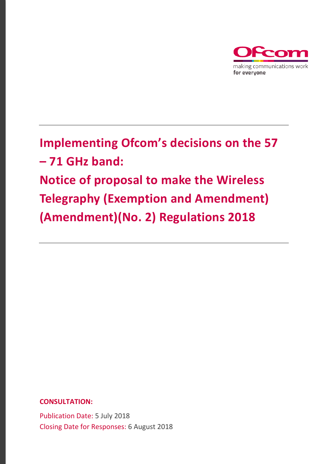

# **Implementing Ofcom's decisions on the 57 – 71 GHz band: Notice of proposal to make the Wireless Telegraphy (Exemption and Amendment) (Amendment)(No. 2) Regulations 2018**

**CONSULTATION:**

Publication Date: 5 July 2018 Closing Date for Responses: 6 August 2018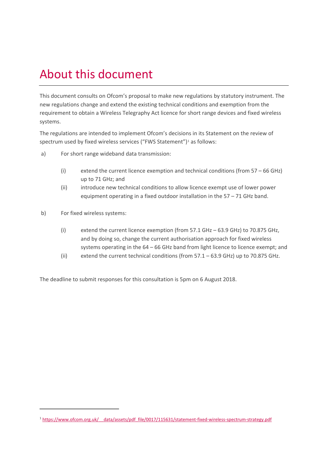## About this document

This document consults on Ofcom's proposal to make new regulations by statutory instrument. The new regulations change and extend the existing technical conditions and exemption from the requirement to obtain a Wireless Telegraphy Act licence for short range devices and fixed wireless systems.

The regulations are intended to implement Ofcom's decisions in its Statement on the review of spectrum used by fixed wireless services ("FWS Statement")<sup>[1](#page-1-0)</sup> as follows:

- a) For short range wideband data transmission:
	- (i) extend the current licence exemption and technical conditions (from 57 66 GHz) up to 71 GHz; and
	- (ii) introduce new technical conditions to allow licence exempt use of lower power equipment operating in a fixed outdoor installation in the 57 – 71 GHz band.
- b) For fixed wireless systems:

 $\overline{a}$ 

- (i) extend the current licence exemption (from 57.1 GHz 63.9 GHz) to 70.875 GHz, and by doing so, change the current authorisation approach for fixed wireless systems operating in the 64 – 66 GHz band from light licence to licence exempt; and
- (ii) extend the current technical conditions (from 57.1 63.9 GHz) up to 70.875 GHz.

The deadline to submit responses for this consultation is 5pm on 6 August 2018.

<span id="page-1-0"></span><sup>1</sup> [https://www.ofcom.org.uk/\\_\\_data/assets/pdf\\_file/0017/115631/statement-fixed-wireless-spectrum-strategy.pdf](https://www.ofcom.org.uk/__data/assets/pdf_file/0017/115631/statement-fixed-wireless-spectrum-strategy.pdf)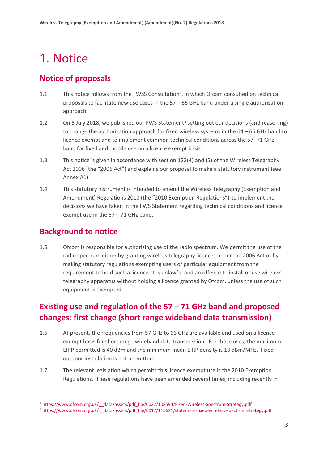## 1. Notice

### **Notice of proposals**

- 1.1 This notice follows from the FWSS Consultation<sup>2</sup>, in which Ofcom consulted on technical proposals to facilitate new use cases in the 57 – 66 GHz band under a single authorisation approach.
- 1.2 On 5 July 2018, we published our FWS Statement<sup>[3](#page-2-1)</sup> setting out our decisions (and reasoning) to change the authorisation approach for fixed wireless systems in the 64 – 66 GHz band to licence exempt and to implement common technical conditions across the 57- 71 GHz band for fixed and mobile use on a licence exempt basis.
- 1.3 This notice is given in accordance with section 122(4) and (5) of the Wireless Telegraphy Act 2006 (the "2006 Act") and explains our proposal to make a statutory instrument (see Annex A1).
- 1.4 This statutory instrument is intended to amend the Wireless Telegraphy (Exemption and Amendment) Regulations 2010 (the "2010 Exemption Regulations") to implement the decisions we have taken in the FWS Statement regarding technical conditions and licence exempt use in the 57 – 71 GHz band.

### **Background to notice**

 $\overline{a}$ 

1.5 Ofcom is responsible for authorising use of the radio spectrum. We permit the use of the radio spectrum either by granting wireless telegraphy licences under the 2006 Act or by making statutory regulations exempting users of particular equipment from the requirement to hold such a licence. It is unlawful and an offence to install or use wireless telegraphy apparatus without holding a licence granted by Ofcom, unless the use of such equipment is exempted.

### **Existing use and regulation of the 57 – 71 GHz band and proposed changes: first change (short range wideband data transmission)**

- 1.6 At present, the frequencies from 57 GHz to 66 GHz are available and used on a licence exempt basis for short range wideband data transmission. For these uses, the maximum EIRP permitted is 40 dBm and the minimum mean EIRP density is 13 dBm/MHz. Fixed outdoor installation is not permitted.
- 1.7 The relevant legislation which permits this licence exempt use is the 2010 Exemption Regulations. These regulations have been amended several times, including recently in

<span id="page-2-0"></span><sup>&</sup>lt;sup>2</sup> https://www.ofcom.org.uk/ data/assets/pdf file/0027/108594/Fixed-Wireless-Spectrum-Strategy.pdf

<span id="page-2-1"></span><sup>&</sup>lt;sup>3</sup> https://www.ofcom.org.uk/ data/assets/pdf\_file/0017/115631/statement-fixed-wireless-spectrum-strategy.pdf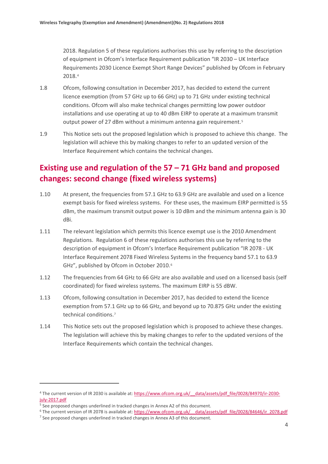2018. Regulation 5 of these regulations authorises this use by referring to the description of equipment in Ofcom's Interface Requirement publication "IR 2030 – UK Interface Requirements 2030 Licence Exempt Short Range Devices" published by Ofcom in February 2018.[4](#page-3-0)

- 1.8 Ofcom, following consultation in December 2017, has decided to extend the current licence exemption (from 57 GHz up to 66 GHz) up to 71 GHz under existing technical conditions. Ofcom will also make technical changes permitting low power outdoor installations and use operating at up to 40 dBm EIRP to operate at a maximum transmit output power of 27 dBm without a minimum antenna gain requirement.<sup>[5](#page-3-1)</sup>
- 1.9 This Notice sets out the proposed legislation which is proposed to achieve this change. The legislation will achieve this by making changes to refer to an updated version of the Interface Requirement which contains the technical changes.

### **Existing use and regulation of the 57 – 71 GHz band and proposed changes: second change (fixed wireless systems)**

- 1.10 At present, the frequencies from 57.1 GHz to 63.9 GHz are available and used on a licence exempt basis for fixed wireless systems. For these uses, the maximum EIRP permitted is 55 dBm, the maximum transmit output power is 10 dBm and the minimum antenna gain is 30 dBi.
- 1.11 The relevant legislation which permits this licence exempt use is the 2010 Amendment Regulations. Regulation 6 of these regulations authorises this use by referring to the description of equipment in Ofcom's Interface Requirement publication "IR 2078 - UK Interface Requirement 2078 Fixed Wireless Systems in the frequency band 57.1 to 63.9 GHz", published by Ofcom in October 2010.<sup>6</sup>
- 1.12 The frequencies from 64 GHz to 66 GHz are also available and used on a licensed basis (self coordinated) for fixed wireless systems. The maximum EIRP is 55 dBW.
- 1.13 Ofcom, following consultation in December 2017, has decided to extend the licence exemption from 57.1 GHz up to 66 GHz, and beyond up to 70.875 GHz under the existing technical conditions.[7](#page-3-3)
- 1.14 This Notice sets out the proposed legislation which is proposed to achieve these changes. The legislation will achieve this by making changes to refer to the updated versions of the Interface Requirements which contain the technical changes.

 $\overline{a}$ 

<span id="page-3-0"></span><sup>&</sup>lt;sup>4</sup> The current version of IR 2030 is available at: https://www.ofcom.org.uk/ data/assets/pdf file/0028/84970/ir-2030[july-2017.pdf](https://www.ofcom.org.uk/__data/assets/pdf_file/0028/84970/ir-2030-july-2017.pdf)

<span id="page-3-1"></span><sup>&</sup>lt;sup>5</sup> See proposed changes underlined in tracked changes in Annex A2 of this document.

<span id="page-3-3"></span><span id="page-3-2"></span><sup>&</sup>lt;sup>6</sup> The current version of IR 2078 is available at: https://www.ofcom.org.uk/ data/assets/pdf\_file/0028/84646/ir\_2078.pdf

 $<sup>7</sup>$  See proposed changes underlined in tracked changes in Annex A3 of this document.</sup>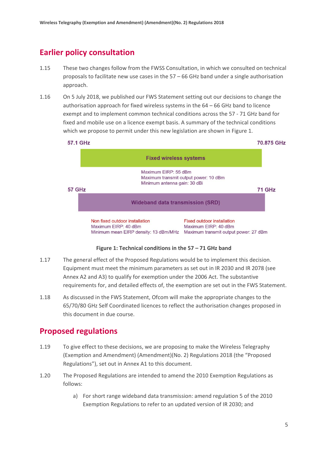### **Earlier policy consultation**

- 1.15 These two changes follow from the FWSS Consultation, in which we consulted on technical proposals to facilitate new use cases in the 57 – 66 GHz band under a single authorisation approach.
- 1.16 On 5 July 2018, we published our FWS Statement setting out our decisions to change the authorisation approach for fixed wireless systems in the 64 – 66 GHz band to licence exempt and to implement common technical conditions across the 57 - 71 GHz band for fixed and mobile use on a licence exempt basis. A summary of the technical conditions which we propose to permit under this new legislation are shown in Figure 1.



**Figure 1: Technical conditions in the 57 – 71 GHz band**

- 1.17 The general effect of the Proposed Regulations would be to implement this decision. Equipment must meet the minimum parameters as set out in IR 2030 and IR 2078 (see Annex A2 and A3) to qualify for exemption under the 2006 Act. The substantive requirements for, and detailed effects of, the exemption are set out in the FWS Statement.
- 1.18 As discussed in the FWS Statement, Ofcom will make the appropriate changes to the 65/70/80 GHz Self Coordinated licences to reflect the authorisation changes proposed in this document in due course.

### **Proposed regulations**

- 1.19 To give effect to these decisions, we are proposing to make the Wireless Telegraphy (Exemption and Amendment) (Amendment)(No. 2) Regulations 2018 (the "Proposed Regulations"), set out in Annex A1 to this document.
- 1.20 The Proposed Regulations are intended to amend the 2010 Exemption Regulations as follows:
	- a) For short range wideband data transmission: amend regulation 5 of the 2010 Exemption Regulations to refer to an updated version of IR 2030; and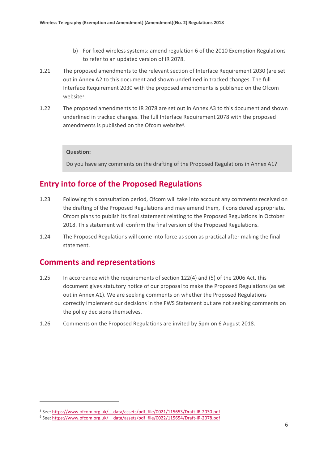- b) For fixed wireless systems: amend regulation 6 of the 2010 Exemption Regulations to refer to an updated version of IR 2078.
- 1.21 The proposed amendments to the relevant section of Interface Requirement 2030 (are set out in Annex A2 to this document and shown underlined in tracked changes. The full Interface Requirement 2030 with the proposed amendments is published on the Ofcom website[8](#page-5-0).
- 1.22 The proposed amendments to IR 2078 are set out in Annex A3 to this document and shown underlined in tracked changes. The full Interface Requirement 2078 with the proposed amendments is published on the Ofcom website<sup>[9](#page-5-1)</sup>.

#### **Question:**

Do you have any comments on the drafting of the Proposed Regulations in Annex A1?

### **Entry into force of the Proposed Regulations**

- 1.23 Following this consultation period, Ofcom will take into account any comments received on the drafting of the Proposed Regulations and may amend them, if considered appropriate. Ofcom plans to publish its final statement relating to the Proposed Regulations in October 2018. This statement will confirm the final version of the Proposed Regulations.
- 1.24 The Proposed Regulations will come into force as soon as practical after making the final statement.

#### **Comments and representations**

 $\overline{a}$ 

- 1.25 In accordance with the requirements of section 122(4) and (5) of the 2006 Act, this document gives statutory notice of our proposal to make the Proposed Regulations (as set out in Annex A1). We are seeking comments on whether the Proposed Regulations correctly implement our decisions in the FWS Statement but are not seeking comments on the policy decisions themselves.
- 1.26 Comments on the Proposed Regulations are invited by 5pm on 6 August 2018.

<span id="page-5-0"></span><sup>8</sup> See: https://www.ofcom.org.uk/ data/assets/pdf\_file/0021/115653/Draft-IR-2030.pdf

<span id="page-5-1"></span><sup>9</sup> See[: https://www.ofcom.org.uk/\\_\\_data/assets/pdf\\_file/0022/115654/Draft-IR-2078.pdf](https://www.ofcom.org.uk/__data/assets/pdf_file/0022/115654/Draft-IR-2078.pdf)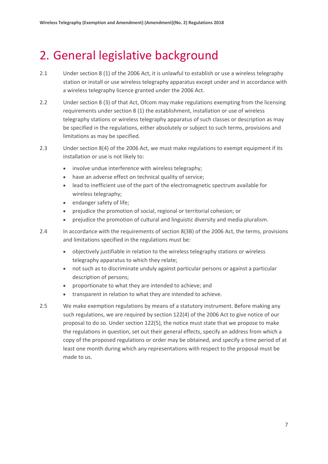## 2. General legislative background

- 2.1 Under section 8 (1) of the 2006 Act, it is unlawful to establish or use a wireless telegraphy station or install or use wireless telegraphy apparatus except under and in accordance with a wireless telegraphy licence granted under the 2006 Act.
- 2.2 Under section 8 (3) of that Act, Ofcom may make regulations exempting from the licensing requirements under section 8 (1) the establishment, installation or use of wireless telegraphy stations or wireless telegraphy apparatus of such classes or description as may be specified in the regulations, either absolutely or subject to such terms, provisions and limitations as may be specified.
- 2.3 Under section 8(4) of the 2006 Act, we must make regulations to exempt equipment if its installation or use is not likely to:
	- involve undue interference with wireless telegraphy;
	- have an adverse effect on technical quality of service;
	- lead to inefficient use of the part of the electromagnetic spectrum available for wireless telegraphy;
	- endanger safety of life;
	- prejudice the promotion of social, regional or territorial cohesion; or
	- prejudice the promotion of cultural and linguistic diversity and media pluralism.
- 2.4 In accordance with the requirements of section 8(3B) of the 2006 Act, the terms, provisions and limitations specified in the regulations must be:
	- objectively justifiable in relation to the wireless telegraphy stations or wireless telegraphy apparatus to which they relate;
	- not such as to discriminate unduly against particular persons or against a particular description of persons;
	- proportionate to what they are intended to achieve; and
	- transparent in relation to what they are intended to achieve.
- 2.5 We make exemption regulations by means of a statutory instrument. Before making any such regulations, we are required by section 122(4) of the 2006 Act to give notice of our proposal to do so. Under section 122(5), the notice must state that we propose to make the regulations in question, set out their general effects, specify an address from which a copy of the proposed regulations or order may be obtained, and specify a time period of at least one month during which any representations with respect to the proposal must be made to us.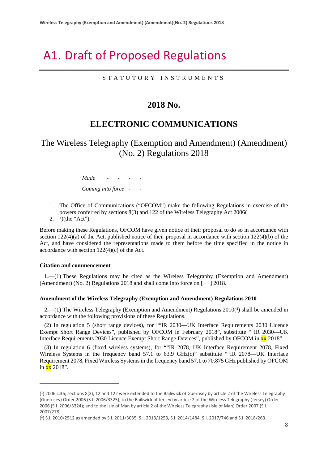## A1. Draft of Proposed Regulations

STATUTORY INSTRUMENT S

### **2018 No.**

### **ELECTRONIC COMMUNICATIONS**

The Wireless Telegraphy (Exemption and Amendment) (Amendment) (No. 2) Regulations 2018

> *Made - - - - Coming into force - -*

- 1. The Office of Communications ("OFCOM") make the following Regulations in exercise of the powers conferred by sections 8(3) and 122 of the Wireless Telegraphy Act 2006(
- 2.  $1)$  $1)$ (the "Act").

Before making these Regulations, OFCOM have given notice of their proposal to do so in accordance with section  $122(4)(a)$  of the Act, published notice of their proposal in accordance with section  $122(4)(b)$  of the Act, and have considered the representations made to them before the time specified in the notice in accordance with section 122(4)(c) of the Act.

#### **Citation and commencement**

 $\overline{a}$ 

**1.**—(1) These Regulations may be cited as the Wireless Telegraphy (Exemption and Amendment) (Amendment) (No. 2) Regulations 2018 and shall come into force on [ ] 2018.

#### **Amendment of the Wireless Telegraphy (Exemption and Amendment) Regulations 2010**

**[2](#page-7-1).**—(1) The Wireless Telegraphy (Exemption and Amendment) Regulations 2010(<sup>2</sup>) shall be amended in accordance with the following provisions of these Regulations.

(2) In regulation 5 (short range devices), for ""IR 2030—UK Interface Requirements 2030 Licence Exempt Short Range Devices", published by OFCOM in February 2018", substitute ""IR 2030—UK Interface Requirements 2030 Licence Exempt Short Range Devices", published by OFCOM in xx 2018".

(3) In regulation 6 (fixed wireless systems), for ""IR 2078, UK Interface Requirement 2078, Fixed Wireless Systems in the frequency band 57.1 to 63.9 GHz(c)" substitute ""IR 2078—UK Interface Requirement 2078, Fixed Wireless Systems in the frequency band 57.1 to 70.875 GHz published by OFCOM in  $\overline{\text{xx}}$  2018".

<span id="page-7-0"></span><sup>(</sup> 1) 2006 c.36; sections 8(3), 12 and 122 were extended to the Bailiwick of Guernsey by article 2 of the Wireless Telegraphy (Guernsey) Order 2006 (S.I. 2006/3325); to the Bailiwick of Jersey by article 2 of the Wireless Telegraphy (Jersey) Order 2006 (S.I. 2006/3324); and to the Isle of Man by article 2 of the Wireless Telegraphy (Isle of Man) Order 2007 (S.I. 2007/278).

<span id="page-7-1"></span><sup>(</sup> 2) S.I. 2010/2512 as amended by S.I. 2011/3035, S.I. 2013/1253, S.I. 2014/1484, S.I. 2017/746 and S.I. 2018/263.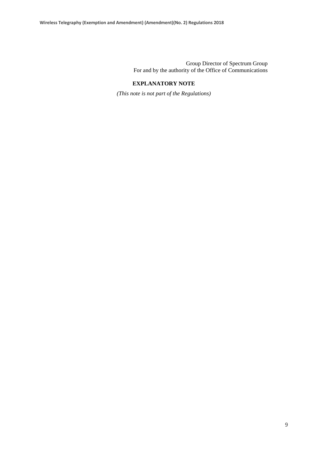Group Director of Spectrum Group For and by the authority of the Office of Communications

#### **EXPLANATORY NOTE**

*(This note is not part of the Regulations)*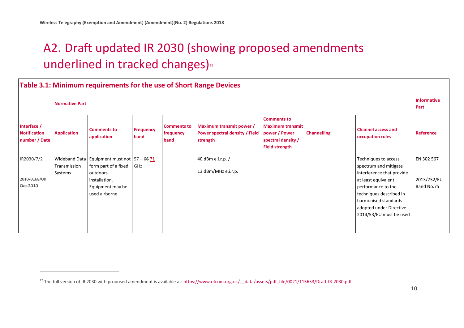$\overline{a}$ 

# <span id="page-9-0"></span>A2. Draft updated IR 2030 (showing proposed amendments underlined in tracked changes)<sup>[12](#page-9-0)</sup>

|                                                     | Table 3.1: Minimum requirements for the use of Short Range Devices<br><b>Normative Part</b> |                                                                                                                                                       |                          |                                         |                                                                               |                                                                                                               |                    |                                                                                                                                                                                                                                  |                                         |  |
|-----------------------------------------------------|---------------------------------------------------------------------------------------------|-------------------------------------------------------------------------------------------------------------------------------------------------------|--------------------------|-----------------------------------------|-------------------------------------------------------------------------------|---------------------------------------------------------------------------------------------------------------|--------------------|----------------------------------------------------------------------------------------------------------------------------------------------------------------------------------------------------------------------------------|-----------------------------------------|--|
| Interface /<br><b>Notification</b><br>number / Date | <b>Application</b>                                                                          | <b>Comments to</b><br>application                                                                                                                     | <b>Frequency</b><br>band | <b>Comments to</b><br>frequency<br>band | Maximum transmit power /<br><b>Power spectral density / Field</b><br>strength | <b>Comments to</b><br><b>Maximum transmit</b><br>power / Power<br>spectral density /<br><b>Field strength</b> | <b>Channelling</b> | <b>Channel access and</b><br>occupation rules                                                                                                                                                                                    | <b>Reference</b>                        |  |
| IR2030/7/2<br>2010/0168/UK<br>Oct 2010              | Transmission<br>Systems                                                                     | Wideband Data   Equipment must not $\left[57 - 66\right.71$<br>form part of a fixed<br>outdoors<br>installation.<br>Equipment may be<br>used airborne | GHz                      |                                         | 40 dBm e.i.r.p. /<br>13 dBm/MHz e.i.r.p.                                      |                                                                                                               |                    | Techniques to access<br>spectrum and mitigate<br>interference that provide<br>at least equivalent<br>performance to the<br>techniques described in<br>harmonised standards<br>adopted under Directive<br>2014/53/EU must be used | EN 302 567<br>2013/752/EU<br>Band No.75 |  |

<sup>&</sup>lt;sup>12</sup> The full version of IR 2030 with proposed amendment is available at: https://www.ofcom.org.uk/ data/assets/pdf file/0021/115653/Draft-IR-2030.pdf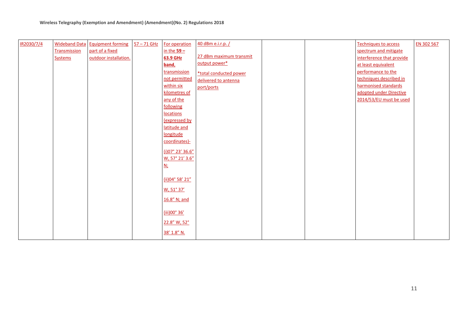| IR2030/7/4 |                | <b>Wideband Data Equipment forming</b> | $57 - 71$ GHz | For operation    | 40 dBm e.i.r.p. /       |  | Techniques to access      | EN 302 567 |
|------------|----------------|----------------------------------------|---------------|------------------|-------------------------|--|---------------------------|------------|
|            | Transmission   | part of a fixed                        |               | in the $59 -$    |                         |  | spectrum and mitigate     |            |
|            | <b>Systems</b> | outdoor installation.                  |               | 63.9 GHz         | 27 dBm maximum transmit |  | interference that provide |            |
|            |                |                                        |               | band,            | output power*           |  | at least equivalent       |            |
|            |                |                                        |               | transmission     | *total conducted power  |  | performance to the        |            |
|            |                |                                        |               | not permitted    | delivered to antenna    |  | techniques described in   |            |
|            |                |                                        |               | within six       | port/ports              |  | harmonised standards      |            |
|            |                |                                        |               | kilometres of    |                         |  | adopted under Directive   |            |
|            |                |                                        |               | any of the       |                         |  | 2014/53/EU must be used   |            |
|            |                |                                        |               | following        |                         |  |                           |            |
|            |                |                                        |               | <b>locations</b> |                         |  |                           |            |
|            |                |                                        |               | (expressed by    |                         |  |                           |            |
|            |                |                                        |               | latitude and     |                         |  |                           |            |
|            |                |                                        |               | longitude        |                         |  |                           |            |
|            |                |                                        |               | coordinates)-    |                         |  |                           |            |
|            |                |                                        |               | (i)07° 23' 36.6" |                         |  |                           |            |
|            |                |                                        |               | W, 57° 21' 3.6"  |                         |  |                           |            |
|            |                |                                        |               | <u>N;</u>        |                         |  |                           |            |
|            |                |                                        |               |                  |                         |  |                           |            |
|            |                |                                        |               | (ii) 04° 58' 21" |                         |  |                           |            |
|            |                |                                        |               | W, 51° 37'       |                         |  |                           |            |
|            |                |                                        |               |                  |                         |  |                           |            |
|            |                |                                        |               | 16.8" N; and     |                         |  |                           |            |
|            |                |                                        |               |                  |                         |  |                           |            |
|            |                |                                        |               | (iii)00° 36'     |                         |  |                           |            |
|            |                |                                        |               | 22.8" W, 52°     |                         |  |                           |            |
|            |                |                                        |               | 38' 1.8" N.      |                         |  |                           |            |
|            |                |                                        |               |                  |                         |  |                           |            |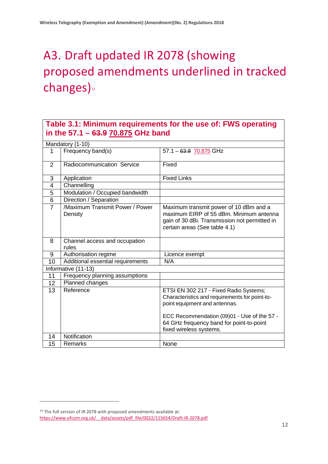# A3. Draft updated IR 2078 (showing proposed amendments underlined in tracked changes)<sup>[13](#page-11-0)</sup>

### **Table 3.1: Minimum requirements for the use of: FWS operating in the 57.1 – 63.9 70.875 GHz band**

|                | Mandatory (1-10)                           |                                                                                                                                                                          |
|----------------|--------------------------------------------|--------------------------------------------------------------------------------------------------------------------------------------------------------------------------|
|                | Frequency band(s)                          | $57.1 - 63.9$ 70.875 GHz                                                                                                                                                 |
| 2              | Radiocommunication Service                 | Fixed                                                                                                                                                                    |
| 3              | Application                                | <b>Fixed Links</b>                                                                                                                                                       |
| $\overline{4}$ | Channelling                                |                                                                                                                                                                          |
| 5              | Modulation / Occupied bandwidth            |                                                                                                                                                                          |
| 6              | Direction / Separation                     |                                                                                                                                                                          |
| $\overline{7}$ | /Maximum Transmit Power / Power<br>Density | Maximum transmit power of 10 dBm and a<br>maximum EIRP of 55 dBm. Minimum antenna<br>gain of 30 dBi. Transmission not permitted in<br>certain areas (See table 4.1)      |
| 8              | Channel access and occupation<br>rules     |                                                                                                                                                                          |
| 9              | Authorisation regime                       | Licence exempt                                                                                                                                                           |
| 10             | Additional essential requirements          | N/A                                                                                                                                                                      |
|                | Informative (11-13)                        |                                                                                                                                                                          |
| 11             | Frequency planning assumptions             |                                                                                                                                                                          |
| 12             | Planned changes                            |                                                                                                                                                                          |
| 13             | Reference                                  | ETSI EN 302 217 - Fixed Radio Systems;<br>Characteristics and requirements for point-to-<br>point equipment and antennas.<br>ECC Recommendation (09)01 - Use of the 57 - |
|                |                                            | 64 GHz frequency band for point-to-point<br>fixed wireless systems.                                                                                                      |
| 14             | Notification                               |                                                                                                                                                                          |
| 15             | Remarks                                    | None                                                                                                                                                                     |

 $\overline{a}$ 

<span id="page-11-0"></span><sup>&</sup>lt;sup>13</sup> The full version of IR 2078 with proposed amendments available at: [https://www.ofcom.org.uk/\\_\\_data/assets/pdf\\_file/0022/115654/Draft-IR-2078.pdf](https://www.ofcom.org.uk/__data/assets/pdf_file/0022/115654/Draft-IR-2078.pdf)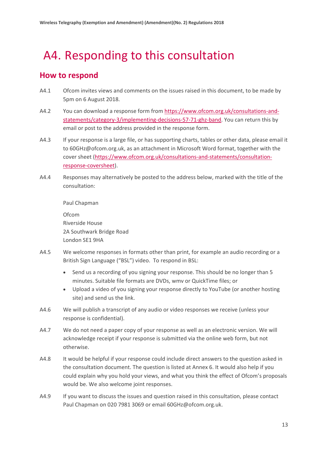# A4. Responding to this consultation

### **How to respond**

- A4.1 Ofcom invites views and comments on the issues raised in this document, to be made by 5pm on 6 August 2018.
- A4.2 You can download a response form from [https://www.ofcom.org.uk/consultations-and](https://www.ofcom.org.uk/consultations-and-statements/category-3/implementing-decisions-57-71-ghz-band)[statements/category-3/implementing-decisions-57-71-ghz-band.](https://www.ofcom.org.uk/consultations-and-statements/category-3/implementing-decisions-57-71-ghz-band) You can return this by email or post to the address provided in the response form.
- A4.3 If your response is a large file, or has supporting charts, tables or other data, please email it to 60GHz@ofcom.org.uk, as an attachment in Microsoft Word format, together with the cover sheet [\(https://www.ofcom.org.uk/consultations-and-statements/consultation](https://www.ofcom.org.uk/consultations-and-statements/consultation-response-coversheet)[response-coversheet\)](https://www.ofcom.org.uk/consultations-and-statements/consultation-response-coversheet).
- A4.4 Responses may alternatively be posted to the address below, marked with the title of the consultation:

Paul Chapman Ofcom Riverside House 2A Southwark Bridge Road London SE1 9HA

- A4.5 We welcome responses in formats other than print, for example an audio recording or a British Sign Language ("BSL") video. To respond in BSL:
	- Send us a recording of you signing your response. This should be no longer than 5 minutes. Suitable file formats are DVDs, wmv or QuickTime files; or
	- Upload a video of you signing your response directly to YouTube (or another hosting site) and send us the link.
- A4.6 We will publish a transcript of any audio or video responses we receive (unless your response is confidential).
- A4.7 We do not need a paper copy of your response as well as an electronic version. We will acknowledge receipt if your response is submitted via the online web form, but not otherwise.
- A4.8 It would be helpful if your response could include direct answers to the question asked in the consultation document. The question is listed at Annex 6. It would also help if you could explain why you hold your views, and what you think the effect of Ofcom's proposals would be. We also welcome joint responses.
- A4.9 If you want to discuss the issues and question raised in this consultation, please contact Paul Chapman on 020 7981 3069 or email 60GHz@ofcom.org.uk.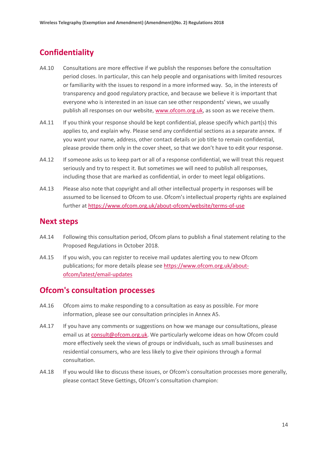### **Confidentiality**

- A4.10 Consultations are more effective if we publish the responses before the consultation period closes. In particular, this can help people and organisations with limited resources or familiarity with the issues to respond in a more informed way. So, in the interests of transparency and good regulatory practice, and because we believe it is important that everyone who is interested in an issue can see other respondents' views, we usually publish all responses on our website, [www.ofcom.org.uk,](http://www.ofcom.org.uk/) as soon as we receive them.
- A4.11 If you think your response should be kept confidential, please specify which part(s) this applies to, and explain why. Please send any confidential sections as a separate annex. If you want your name, address, other contact details or job title to remain confidential, please provide them only in the cover sheet, so that we don't have to edit your response.
- A4.12 If someone asks us to keep part or all of a response confidential, we will treat this request seriously and try to respect it. But sometimes we will need to publish all responses, including those that are marked as confidential, in order to meet legal obligations.
- A4.13 Please also note that copyright and all other intellectual property in responses will be assumed to be licensed to Ofcom to use. Ofcom's intellectual property rights are explained further at<https://www.ofcom.org.uk/about-ofcom/website/terms-of-use>

#### **Next steps**

- A4.14 Following this consultation period, Ofcom plans to publish a final statement relating to the Proposed Regulations in October 2018.
- A4.15 If you wish, you can register to receive mail updates alerting you to new Ofcom publications; for more details please see [https://www.ofcom.org.uk/about](https://www.ofcom.org.uk/about-ofcom/latest/email-updates)[ofcom/latest/email-updates](https://www.ofcom.org.uk/about-ofcom/latest/email-updates)

#### **Ofcom's consultation processes**

- A4.16 Ofcom aims to make responding to a consultation as easy as possible. For more information, please see our consultation principles in Annex A5.
- A4.17 If you have any comments or suggestions on how we manage our consultations, please email us a[t consult@ofcom.org.uk.](mailto:consult@ofcom.org.uk) We particularly welcome ideas on how Ofcom could more effectively seek the views of groups or individuals, such as small businesses and residential consumers, who are less likely to give their opinions through a formal consultation.
- A4.18 If you would like to discuss these issues, or Ofcom's consultation processes more generally, please contact Steve Gettings, Ofcom's consultation champion: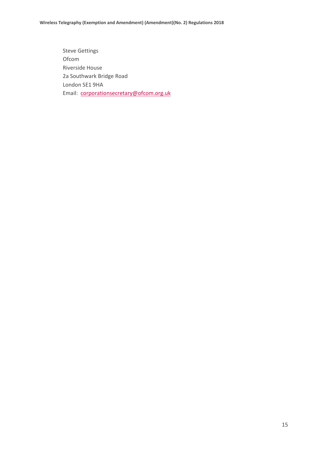Steve Gettings Ofcom Riverside House 2a Southwark Bridge Road London SE1 9HA Email: [corporationsecretary@ofcom.org.uk](mailto:corporationsecretary@ofcom.org.uk)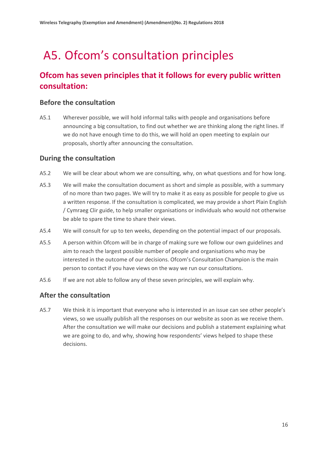# A5. Ofcom's consultation principles

### **Ofcom has seven principles that it follows for every public written consultation:**

#### **Before the consultation**

A5.1 Wherever possible, we will hold informal talks with people and organisations before announcing a big consultation, to find out whether we are thinking along the right lines. If we do not have enough time to do this, we will hold an open meeting to explain our proposals, shortly after announcing the consultation.

#### **During the consultation**

- A5.2 We will be clear about whom we are consulting, why, on what questions and for how long.
- A5.3 We will make the consultation document as short and simple as possible, with a summary of no more than two pages. We will try to make it as easy as possible for people to give us a written response. If the consultation is complicated, we may provide a short Plain English / Cymraeg Clir guide, to help smaller organisations or individuals who would not otherwise be able to spare the time to share their views.
- A5.4 We will consult for up to ten weeks, depending on the potential impact of our proposals.
- A5.5 A person within Ofcom will be in charge of making sure we follow our own guidelines and aim to reach the largest possible number of people and organisations who may be interested in the outcome of our decisions. Ofcom's Consultation Champion is the main person to contact if you have views on the way we run our consultations.
- A5.6 If we are not able to follow any of these seven principles, we will explain why.

#### **After the consultation**

A5.7 We think it is important that everyone who is interested in an issue can see other people's views, so we usually publish all the responses on our website as soon as we receive them. After the consultation we will make our decisions and publish a statement explaining what we are going to do, and why, showing how respondents' views helped to shape these decisions.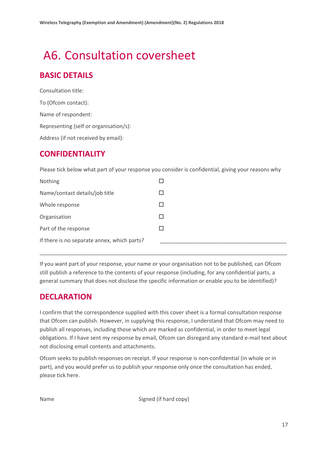# A6. Consultation coversheet

### **BASIC DETAILS**

Consultation title: To (Ofcom contact): Name of respondent: Representing (self or organisation/s): Address (if not received by email):

### **CONFIDENTIALITY**

Please tick below what part of your response you consider is confidential, giving your reasons why

| Nothing                                     |  |
|---------------------------------------------|--|
| Name/contact details/job title              |  |
| Whole response                              |  |
| Organisation                                |  |
| Part of the response                        |  |
| If there is no separate annex, which parts? |  |

If you want part of your response, your name or your organisation not to be published, can Ofcom still publish a reference to the contents of your response (including, for any confidential parts, a general summary that does not disclose the specific information or enable you to be identified)?

\_\_\_\_\_\_\_\_\_\_\_\_\_\_\_\_\_\_\_\_\_\_\_\_\_\_\_\_\_\_\_\_\_\_\_\_\_\_\_\_\_\_\_\_\_\_\_\_\_\_\_\_\_\_\_\_\_\_\_\_\_\_\_\_\_\_\_\_\_\_\_\_\_\_\_\_\_\_\_\_\_\_

### **DECLARATION**

I confirm that the correspondence supplied with this cover sheet is a formal consultation response that Ofcom can publish. However, in supplying this response, I understand that Ofcom may need to publish all responses, including those which are marked as confidential, in order to meet legal obligations. If I have sent my response by email, Ofcom can disregard any standard e-mail text about not disclosing email contents and attachments.

Ofcom seeks to publish responses on receipt. If your response is non-confidential (in whole or in part), and you would prefer us to publish your response only once the consultation has ended, please tick here.

Name Signed (if hard copy)